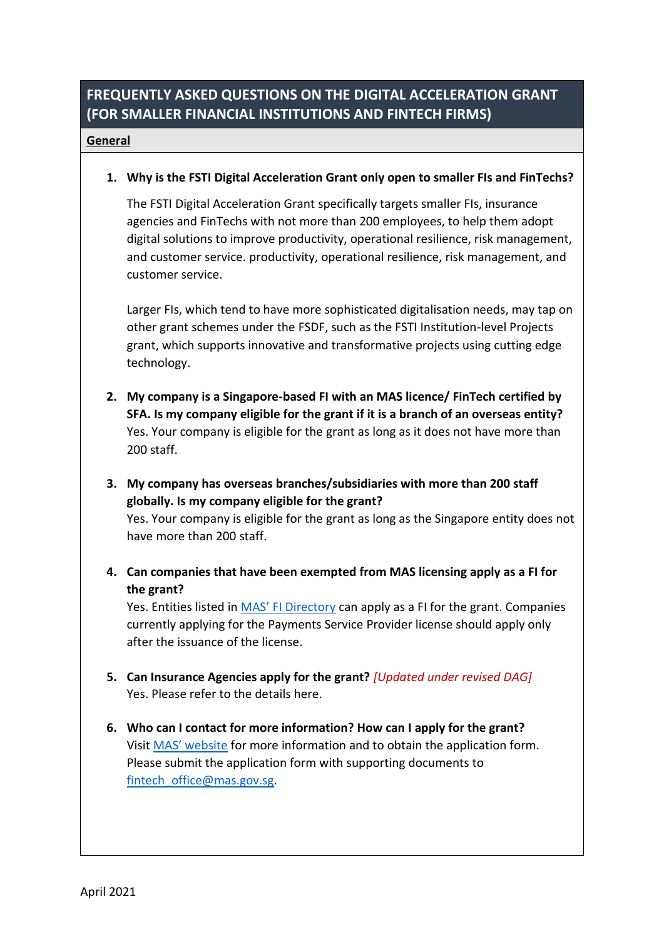# **FREQUENTLY ASKED QUESTIONS ON THE DIGITAL ACCELERATION GRANT (FOR SMALLER FINANCIAL INSTITUTIONS AND FINTECH FIRMS)**

#### **General**

#### **1. Why is the FSTI Digital Acceleration Grant only open to smaller FIs and FinTechs?**

The FSTI Digital Acceleration Grant specifically targets smaller FIs, insurance agencies and FinTechs with not more than 200 employees, to help them adopt digital solutions to improve productivity, operational resilience, risk management, and customer service. productivity, operational resilience, risk management, and customer service.

Larger FIs, which tend to have more sophisticated digitalisation needs, may tap on other grant schemes under the FSDF, such as the FSTI Institution-level Projects grant, which supports innovative and transformative projects using cutting edge technology.

- **2. My company is a Singapore-based FI with an MAS licence/ FinTech certified by SFA. Is my company eligible for the grant if it is a branch of an overseas entity?** Yes. Your company is eligible for the grant as long as it does not have more than 200 staff.
- **3. My company has overseas branches/subsidiaries with more than 200 staff globally. Is my company eligible for the grant?**

Yes. Your company is eligible for the grant as long as the Singapore entity does not have more than 200 staff.

**4. Can companies that have been exempted from MAS licensing apply as a FI for the grant?**

Yes. Entities listed in [MAS' FI Directory](https://eservices.mas.gov.sg/fid) can apply as a FI for the grant. Companies currently applying for the Payments Service Provider license should apply only after the issuance of the license.

- **5. Can Insurance Agencies apply for the grant?** *[Updated under revised DAG]* Yes. Please refer to the details here.
- **6. Who can I contact for more information? How can I apply for the grant?** Visit [MAS' website](https://www.mas.gov.sg/development/fintech/digital-acceleration-grant) for more information and to obtain the application form. Please submit the application form with supporting documents to [fintech\\_office@mas.gov.sg.](mailto:fintech_office@mas.gov.sg)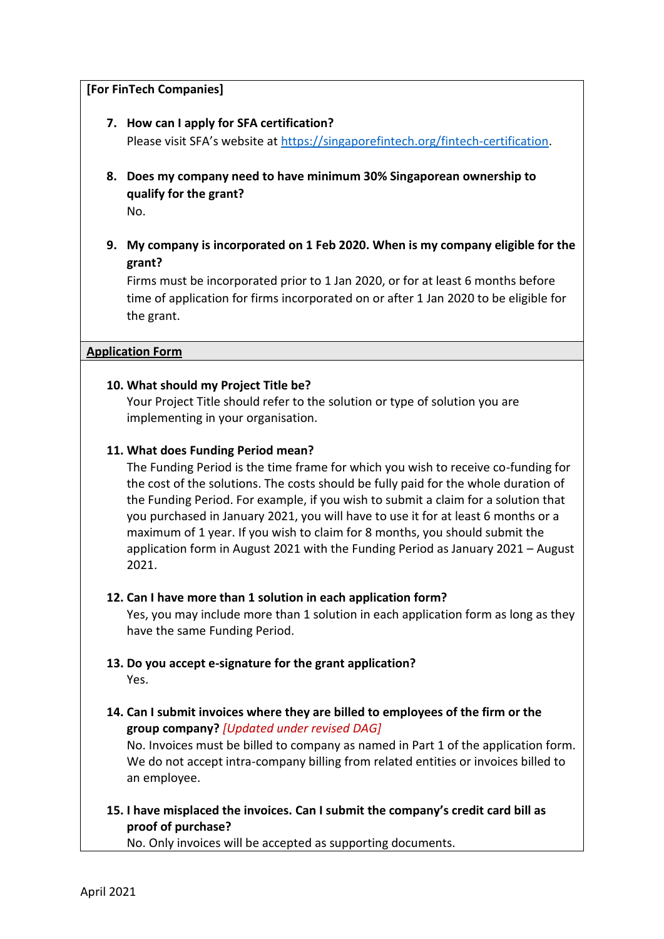#### **[For FinTech Companies]**

- **7. How can I apply for SFA certification?** Please visit SFA's website at [https://singaporefintech.org/fintech-certification.](https://singaporefintech.org/fintech-certification)
- **8. Does my company need to have minimum 30% Singaporean ownership to qualify for the grant?**

No.

**9. My company is incorporated on 1 Feb 2020. When is my company eligible for the grant?**

Firms must be incorporated prior to 1 Jan 2020, or for at least 6 months before time of application for firms incorporated on or after 1 Jan 2020 to be eligible for the grant.

#### **Application Form**

### **10. What should my Project Title be?**

Your Project Title should refer to the solution or type of solution you are implementing in your organisation.

#### **11. What does Funding Period mean?**

The Funding Period is the time frame for which you wish to receive co-funding for the cost of the solutions. The costs should be fully paid for the whole duration of the Funding Period. For example, if you wish to submit a claim for a solution that you purchased in January 2021, you will have to use it for at least 6 months or a maximum of 1 year. If you wish to claim for 8 months, you should submit the application form in August 2021 with the Funding Period as January 2021 – August 2021.

### **12. Can I have more than 1 solution in each application form?**

Yes, you may include more than 1 solution in each application form as long as they have the same Funding Period.

- **13. Do you accept e-signature for the grant application?** Yes.
- **14. Can I submit invoices where they are billed to employees of the firm or the group company?** *[Updated under revised DAG]*

No. Invoices must be billed to company as named in Part 1 of the application form. We do not accept intra-company billing from related entities or invoices billed to an employee.

**15. I have misplaced the invoices. Can I submit the company's credit card bill as proof of purchase?** 

No. Only invoices will be accepted as supporting documents.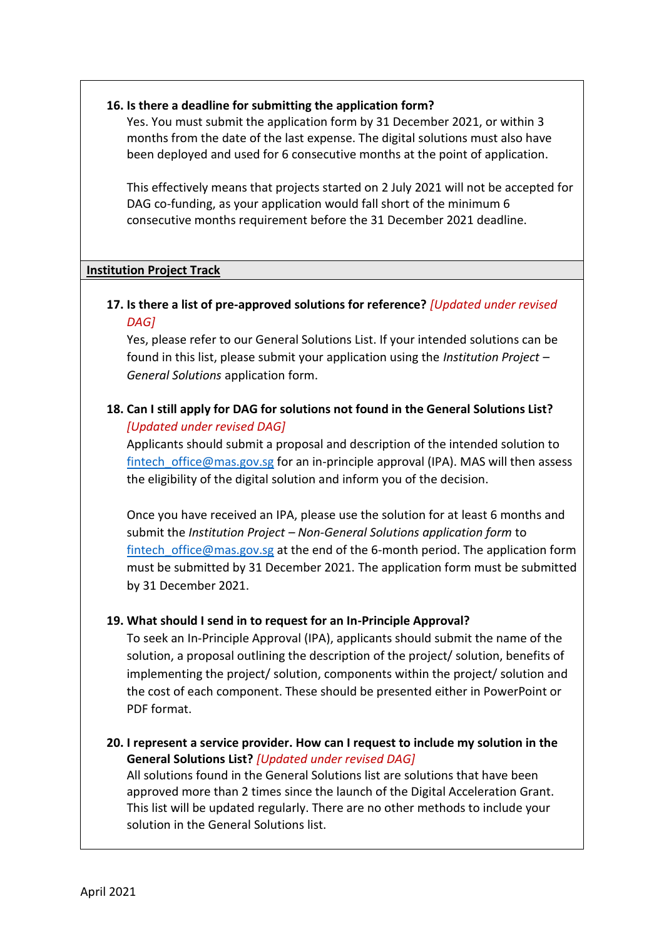#### **16. Is there a deadline for submitting the application form?**

Yes. You must submit the application form by 31 December 2021, or within 3 months from the date of the last expense. The digital solutions must also have been deployed and used for 6 consecutive months at the point of application.

This effectively means that projects started on 2 July 2021 will not be accepted for DAG co-funding, as your application would fall short of the minimum 6 consecutive months requirement before the 31 December 2021 deadline.

#### **Institution Project Track**

## **17. Is there a list of pre-approved solutions for reference?** *[Updated under revised DAG]*

Yes, please refer to our General Solutions List. If your intended solutions can be found in this list, please submit your application using the *Institution Project – General Solutions* application form.

## **18. Can I still apply for DAG for solutions not found in the General Solutions List?**  *[Updated under revised DAG]*

Applicants should submit a proposal and description of the intended solution to fintech office@mas.gov.sg for an in-principle approval (IPA). MAS will then assess the eligibility of the digital solution and inform you of the decision.

Once you have received an IPA, please use the solution for at least 6 months and submit the *Institution Project – [Non-General Solutions](https://www.mas.gov.sg/development/fintech/digital-acceleration-grant) application form* to fintech office@mas.gov.sg at the end of the 6-month period. The application form must be submitted by 31 December 2021. The application form must be submitted by 31 December 2021.

### **19. What should I send in to request for an In-Principle Approval?**

To seek an In-Principle Approval (IPA), applicants should submit the name of the solution, a proposal outlining the description of the project/ solution, benefits of implementing the project/ solution, components within the project/ solution and the cost of each component. These should be presented either in PowerPoint or PDF format.

**20. I represent a service provider. How can I request to include my solution in the General Solutions List?** *[Updated under revised DAG]* All solutions found in the General Solutions list are solutions that have been approved more than 2 times since the launch of the Digital Acceleration Grant. This list will be updated regularly. There are no other methods to include your solution in the General Solutions list.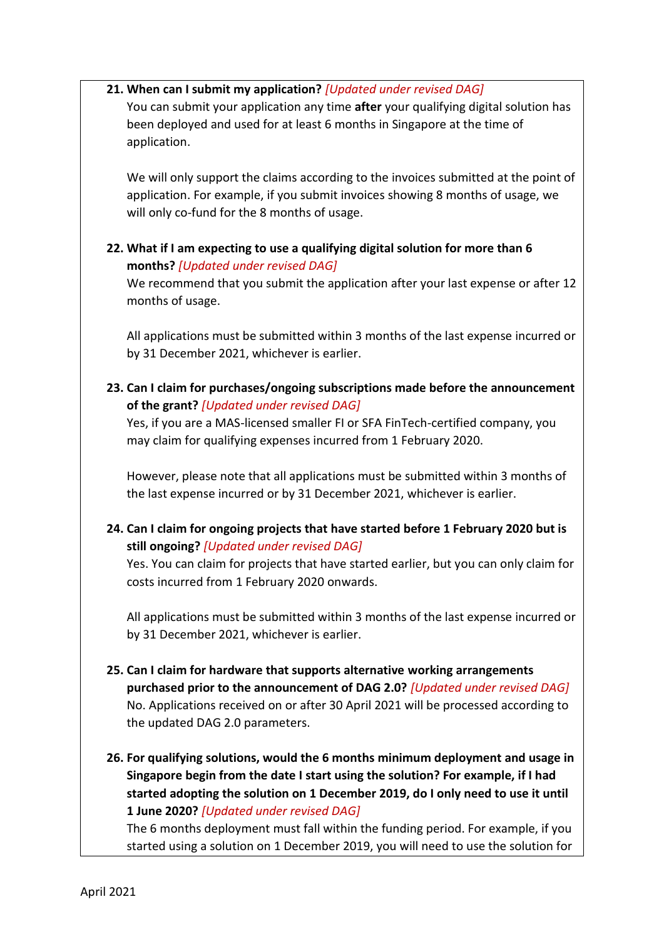#### **21. When can I submit my application?** *[Updated under revised DAG]*

You can submit your application any time **after** your qualifying digital solution has been deployed and used for at least 6 months in Singapore at the time of application.

We will only support the claims according to the invoices submitted at the point of application. For example, if you submit invoices showing 8 months of usage, we will only co-fund for the 8 months of usage.

## **22. What if I am expecting to use a qualifying digital solution for more than 6 months?** *[Updated under revised DAG]*

We recommend that you submit the application after your last expense or after 12 months of usage.

All applications must be submitted within 3 months of the last expense incurred or by 31 December 2021, whichever is earlier.

**23. Can I claim for purchases/ongoing subscriptions made before the announcement of the grant?** *[Updated under revised DAG]*

Yes, if you are a MAS-licensed smaller FI or SFA FinTech-certified company, you may claim for qualifying expenses incurred from 1 February 2020.

However, please note that all applications must be submitted within 3 months of the last expense incurred or by 31 December 2021, whichever is earlier.

**24. Can I claim for ongoing projects that have started before 1 February 2020 but is still ongoing?** *[Updated under revised DAG]*

Yes. You can claim for projects that have started earlier, but you can only claim for costs incurred from 1 February 2020 onwards.

All applications must be submitted within 3 months of the last expense incurred or by 31 December 2021, whichever is earlier.

- **25. Can I claim for hardware that supports alternative working arrangements purchased prior to the announcement of DAG 2.0?** *[Updated under revised DAG]* No. Applications received on or after 30 April 2021 will be processed according to the updated DAG 2.0 parameters.
- **26. For qualifying solutions, would the 6 months minimum deployment and usage in Singapore begin from the date I start using the solution? For example, if I had started adopting the solution on 1 December 2019, do I only need to use it until 1 June 2020?** *[Updated under revised DAG]*

The 6 months deployment must fall within the funding period. For example, if you started using a solution on 1 December 2019, you will need to use the solution for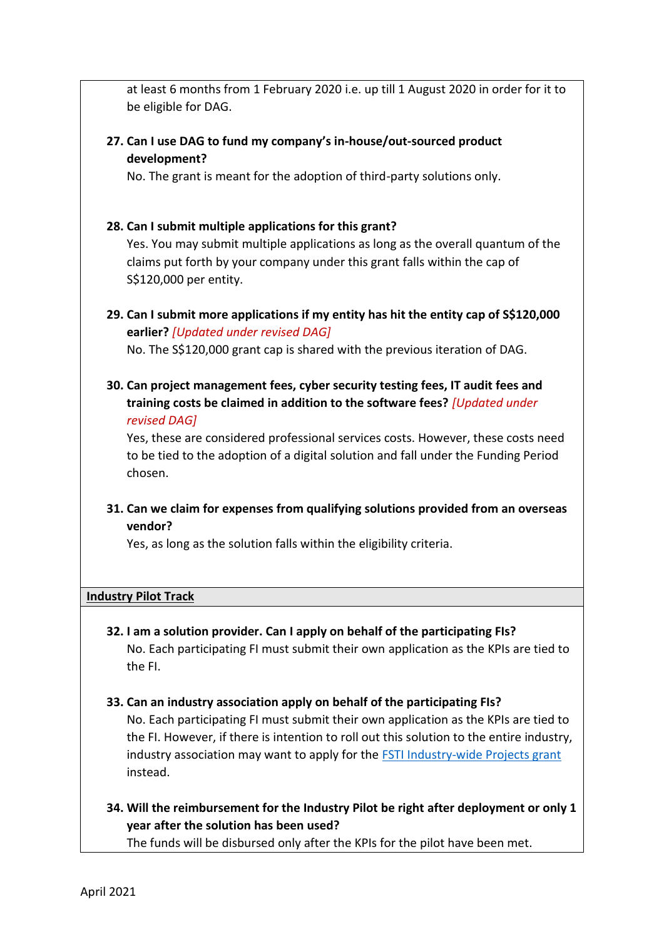at least 6 months from 1 February 2020 i.e. up till 1 August 2020 in order for it to be eligible for DAG.

**27. Can I use DAG to fund my company's in-house/out-sourced product development?**

No. The grant is meant for the adoption of third-party solutions only.

#### **28. Can I submit multiple applications for this grant?**

Yes. You may submit multiple applications as long as the overall quantum of the claims put forth by your company under this grant falls within the cap of S\$120,000 per entity.

**29. Can I submit more applications if my entity has hit the entity cap of S\$120,000 earlier?** *[Updated under revised DAG]*

No. The S\$120,000 grant cap is shared with the previous iteration of DAG.

**30. Can project management fees, cyber security testing fees, IT audit fees and training costs be claimed in addition to the software fees?** *[Updated under revised DAG]*

Yes, these are considered professional services costs. However, these costs need to be tied to the adoption of a digital solution and fall under the Funding Period chosen.

**31. Can we claim for expenses from qualifying solutions provided from an overseas vendor?**

Yes, as long as the solution falls within the eligibility criteria.

#### **Industry Pilot Track**

- **32. I am a solution provider. Can I apply on behalf of the participating FIs?** No. Each participating FI must submit their own application as the KPIs are tied to the FI.
- **33. Can an industry association apply on behalf of the participating FIs?** No. Each participating FI must submit their own application as the KPIs are tied to the FI. However, if there is intention to roll out this solution to the entire industry, industry association may want to apply for the [FSTI Industry-wide Projects grant](https://www.mas.gov.sg/schemes-and-initiatives/fsti-scheme) instead.
- **34. Will the reimbursement for the Industry Pilot be right after deployment or only 1 year after the solution has been used?**

The funds will be disbursed only after the KPIs for the pilot have been met.